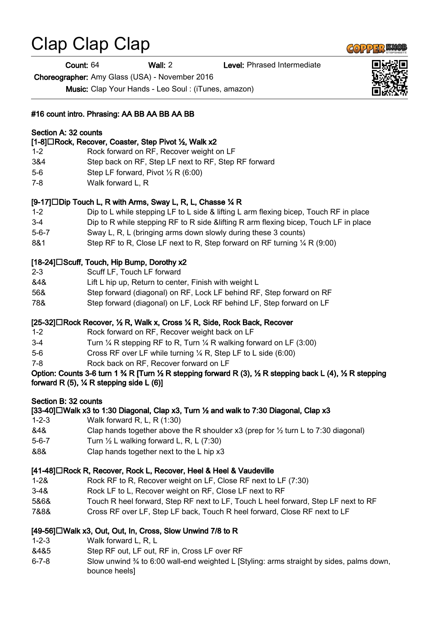# Clap Clap Clap

Count: 64 Wall: 2 Level: Phrased Intermediate

Choreographer: Amy Glass (USA) - November 2016

Music: Clap Your Hands - Leo Soul : (iTunes, amazon)

#### #16 count intro. Phrasing: AA BB AA BB AA BB

#### Section A: 32 counts

#### [1-8]□Rock, Recover, Coaster, Step Pivot ½, Walk x2

- 1-2 Rock forward on RF, Recover weight on LF 3&4 Step back on RF, Step LF next to RF, Step RF forward 5-6 Step LF forward, Pivot ½ R (6:00)
- 7-8 Walk forward L, R

#### $[9-17]$  Dip Touch L, R with Arms, Sway L, R, L, Chasse  $\%$  R

- 1-2 Dip to L while stepping LF to L side & lifting L arm flexing bicep, Touch RF in place
- 3-4 Dip to R while stepping RF to R side &lifting R arm flexing bicep, Touch LF in place
- 5-6-7 Sway L, R, L (bringing arms down slowly during these 3 counts)
- 8&1 Step RF to R, Close LF next to R, Step forward on RF turning  $\frac{1}{4}$  R (9:00)

## $[18-24]$  Scuff, Touch, Hip Bump, Dorothy x2

- 2-3 Scuff LF, Touch LF forward
- &4& Lift L hip up, Return to center, Finish with weight L
- 56& Step forward (diagonal) on RF, Lock LF behind RF, Step forward on RF
- 78& Step forward (diagonal) on LF, Lock RF behind LF, Step forward on LF

## $[25-32]$  Rock Recover,  $\frac{1}{2}$  R, Walk x, Cross  $\frac{1}{2}$  R, Side, Rock Back, Recover

- 1-2 Rock forward on RF, Recover weight back on LF
- 3-4 Turn ¼ R stepping RF to R, Turn ¼ R walking forward on LF (3:00)
- 5-6 Cross RF over LF while turning ¼ R, Step LF to L side (6:00)
- 7-8 Rock back on RF, Recover forward on LF

#### Option: Counts 3-6 turn 1 ¾ R [Turn ½ R stepping forward R (3), ½ R stepping back L (4), ½ R stepping forward R (5),  $\frac{1}{4}$  R stepping side L (6)]

## Section B: 32 counts

## [33-40] $\Box$ Walk x3 to 1:30 Diagonal, Clap x3, Turn  $\frac{1}{2}$  and walk to 7:30 Diagonal, Clap x3

- 1-2-3 Walk forward R, L, R (1:30)
- $&4&$  Clap hands together above the R shoulder x3 (prep for  $\frac{1}{2}$  turn L to 7:30 diagonal)
- 5-6-7 Turn ½ L walking forward L, R, L (7:30)
- &8& Clap hands together next to the L hip x3

## [41-48]□Rock R, Recover, Rock L, Recover, Heel & Heel & Vaudeville

- 1-2& Rock RF to R, Recover weight on LF, Close RF next to LF (7:30)
- 3-4& Rock LF to L, Recover weight on RF, Close LF next to RF
- 5&6& Touch R heel forward, Step RF next to LF, Touch L heel forward, Step LF next to RF
- 7&8& Cross RF over LF, Step LF back, Touch R heel forward, Close RF next to LF

## $[49-56]$   $\square$  Walk x3, Out, Out, In, Cross, Slow Unwind 7/8 to R

- 1-2-3 Walk forward L, R, L
- &4&5 Step RF out, LF out, RF in, Cross LF over RF
- 6-7-8 Slow unwind ¾ to 6:00 wall-end weighted L [Styling: arms straight by sides, palms down, bounce heels]